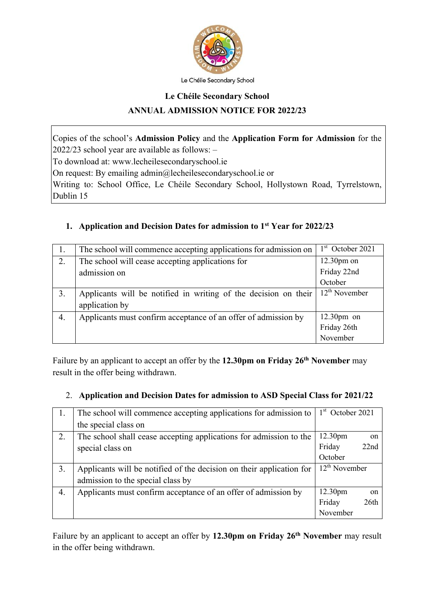

Le Chéile Secondary School

# **Le Chéile Secondary School ANNUAL ADMISSION NOTICE FOR 2022/23**

Copies of the school's **Admission Policy** and the **Application Form for Admission** for the 2022/23 school year are available as follows: –

To download at: www.lecheilesecondaryschool.ie

On request: By emailing admin@lecheilesecondaryschool.ie or

Writing to: School Office, Le Chéile Secondary School, Hollystown Road, Tyrrelstown, Dublin 15

## **1. Application and Decision Dates for admission to 1st Year for 2022/23**

| 1. | The school will commence accepting applications for admission on | $1st$ October 2021 |
|----|------------------------------------------------------------------|--------------------|
| 2. | The school will cease accepting applications for                 | $12.30pm$ on       |
|    | admission on                                                     | Friday 22nd        |
|    |                                                                  | October            |
| 3. | Applicants will be notified in writing of the decision on their  | $12th$ November    |
|    | application by                                                   |                    |
| 4. | Applicants must confirm acceptance of an offer of admission by   | $12.30$ pm on      |
|    |                                                                  | Friday 26th        |
|    |                                                                  | November           |

Failure by an applicant to accept an offer by the **12.30pm on Friday 26th November** may result in the offer being withdrawn.

### 2. **Application and Decision Dates for admission to ASD Special Class for 2021/22**

| 1. | The school will commence accepting applications for admission to     | $1st$ October 2021  |            |
|----|----------------------------------------------------------------------|---------------------|------------|
|    | the special class on                                                 |                     |            |
| 2. | The school shall cease accepting applications for admission to the   | 12.30pm             | on         |
|    | special class on                                                     | Friday              | 22nd       |
|    |                                                                      | October             |            |
| 3. | Applicants will be notified of the decision on their application for | $12th$ November     |            |
|    | admission to the special class by                                    |                     |            |
| 4. | Applicants must confirm acceptance of an offer of admission by       | 12.30 <sub>pm</sub> | $\alpha$ n |
|    |                                                                      | Friday              | 26th       |
|    |                                                                      | November            |            |

Failure by an applicant to accept an offer by **12.30pm on Friday 26th November** may result in the offer being withdrawn.